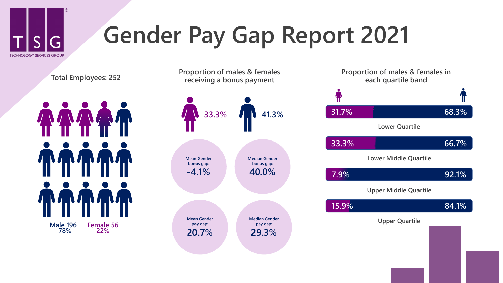

## **Gender Pay Gap Report 2021**

**Total Employees: 252**



**Upper Quartile Mean Gender pay gap: 20.7% Median Gender pay gap: 29.3% 33.3% 41.3% Proportion of males & females receiving a bonus payment Mean Gender bonus gap: -4.1% Median Gender bonus gap: 40.0%**